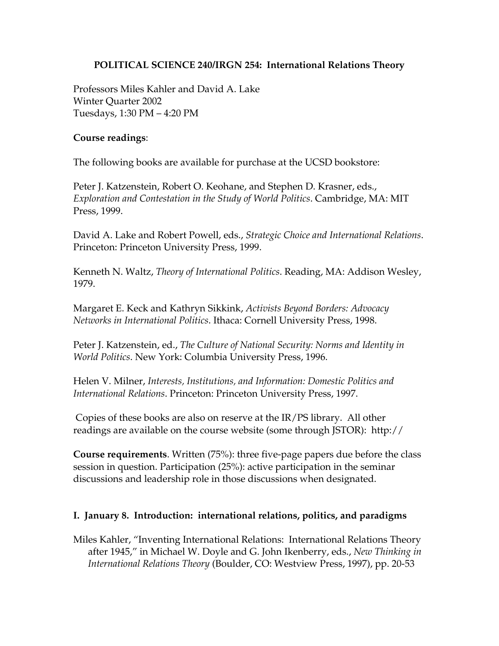## **POLITICAL SCIENCE 240/IRGN 254: International Relations Theory**

Professors Miles Kahler and David A. Lake Winter Quarter 2002 Tuesdays, 1:30 PM – 4:20 PM

### **Course readings**:

The following books are available for purchase at the UCSD bookstore:

Peter J. Katzenstein, Robert O. Keohane, and Stephen D. Krasner, eds., *Exploration and Contestation in the Study of World Politics*. Cambridge, MA: MIT Press, 1999.

David A. Lake and Robert Powell, eds., *Strategic Choice and International Relations*. Princeton: Princeton University Press, 1999.

Kenneth N. Waltz, *Theory of International Politics*. Reading, MA: Addison Wesley, 1979.

Margaret E. Keck and Kathryn Sikkink, *Activists Beyond Borders: Advocacy Networks in International Politics*. Ithaca: Cornell University Press, 1998.

Peter J. Katzenstein, ed., *The Culture of National Security: Norms and Identity in World Politics*. New York: Columbia University Press, 1996.

Helen V. Milner, *Interests, Institutions, and Information: Domestic Politics and International Relations*. Princeton: Princeton University Press, 1997.

 Copies of these books are also on reserve at the IR/PS library. All other readings are available on the course website (some through JSTOR): http://

**Course requirements**. Written (75%): three five-page papers due before the class session in question. Participation (25%): active participation in the seminar discussions and leadership role in those discussions when designated.

# **I. January 8. Introduction: international relations, politics, and paradigms**

Miles Kahler, "Inventing International Relations: International Relations Theory after 1945," in Michael W. Doyle and G. John Ikenberry, eds., *New Thinking in International Relations Theory* (Boulder, CO: Westview Press, 1997), pp. 20-53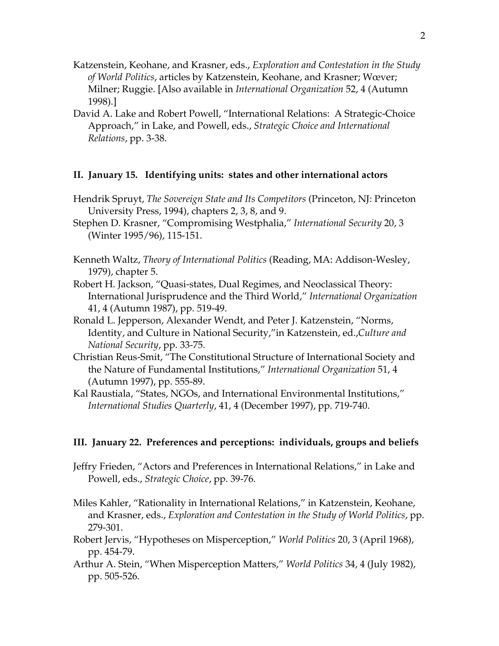- Katzenstein, Keohane, and Krasner, eds., *Exploration and Contestation in the Study of World Politics*, articles by Katzenstein, Keohane, and Krasner; Wœver; Milner; Ruggie. [Also available in *International Organization* 52, 4 (Autumn 1998).]
- David A. Lake and Robert Powell, "International Relations: A Strategic-Choice Approach," in Lake, and Powell, eds., *Strategic Choice and International Relations*, pp. 3-38.

### **II. January 15. Identifying units: states and other international actors**

- Hendrik Spruyt, *The Sovereign State and Its Competitors* (Princeton, NJ: Princeton University Press, 1994), chapters 2, 3, 8, and 9.
- Stephen D. Krasner, "Compromising Westphalia," *International Security* 20, 3 (Winter 1995/96), 115-151.
- Kenneth Waltz, *Theory of International Politics* (Reading, MA: Addison-Wesley, 1979), chapter 5.
- Robert H. Jackson, "Quasi-states, Dual Regimes, and Neoclassical Theory: International Jurisprudence and the Third World," *International Organization* 41, 4 (Autumn 1987), pp. 519-49.
- Ronald L. Jepperson, Alexander Wendt, and Peter J. Katzenstein, "Norms, Identity, and Culture in National Security,"in Katzenstein, ed.,*Culture and National Security*, pp. 33-75.
- Christian Reus-Smit, "The Constitutional Structure of International Society and the Nature of Fundamental Institutions," *International Organization* 51, 4 (Autumn 1997), pp. 555-89.
- Kal Raustiala, "States, NGOs, and International Environmental Institutions," *International Studies Quarterly*, 41, 4 (December 1997), pp. 719-740.

#### **III. January 22. Preferences and perceptions: individuals, groups and beliefs**

- Jeffry Frieden, "Actors and Preferences in International Relations," in Lake and Powell, eds., *Strategic Choice*, pp. 39-76.
- Miles Kahler, "Rationality in International Relations," in Katzenstein, Keohane, and Krasner, eds., *Exploration and Contestation in the Study of World Politics*, pp. 279-301.
- Robert Jervis, "Hypotheses on Misperception," *World Politics* 20, 3 (April 1968), pp. 454-79.
- Arthur A. Stein, "When Misperception Matters," *World Politics* 34, 4 (July 1982), pp. 505-526.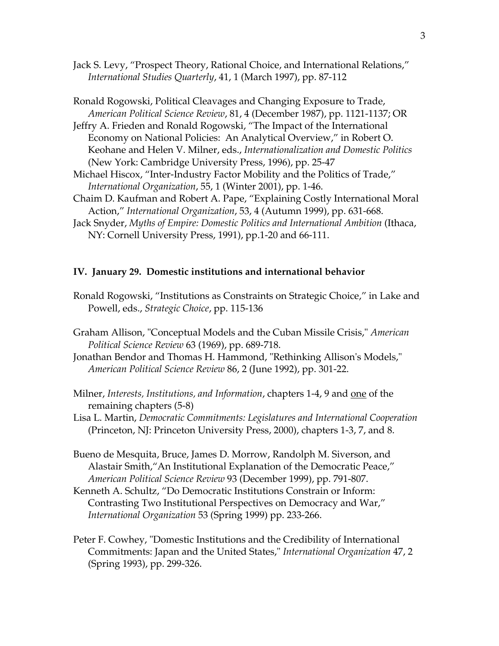Jack S. Levy, "Prospect Theory, Rational Choice, and International Relations," *International Studies Quarterly*, 41, 1 (March 1997), pp. 87-112

Ronald Rogowski, Political Cleavages and Changing Exposure to Trade, *American Political Science Review*, 81, 4 (December 1987), pp. 1121-1137; OR

Jeffry A. Frieden and Ronald Rogowski, "The Impact of the International Economy on National Policies: An Analytical Overview," in Robert O. Keohane and Helen V. Milner, eds., *Internationalization and Domestic Politics* (New York: Cambridge University Press, 1996), pp. 25-47

- Michael Hiscox, "Inter-Industry Factor Mobility and the Politics of Trade," *International Organization*, 55, 1 (Winter 2001), pp. 1-46.
- Chaim D. Kaufman and Robert A. Pape, "Explaining Costly International Moral Action," *International Organization*, 53, 4 (Autumn 1999), pp. 631-668.
- Jack Snyder, *Myths of Empire: Domestic Politics and International Ambition* (Ithaca, NY: Cornell University Press, 1991), pp.1-20 and 66-111.

### **IV. January 29. Domestic institutions and international behavior**

- Ronald Rogowski, "Institutions as Constraints on Strategic Choice," in Lake and Powell, eds., *Strategic Choice*, pp. 115-136
- Graham Allison, "Conceptual Models and the Cuban Missile Crisis," *American Political Science Review* 63 (1969), pp. 689-718.
- Jonathan Bendor and Thomas H. Hammond, "Rethinking Allison's Models," *American Political Science Review* 86, 2 (June 1992), pp. 301-22.
- Milner, *Interests, Institutions, and Information*, chapters 1-4, 9 and one of the remaining chapters (5-8)
- Lisa L. Martin, *Democratic Commitments: Legislatures and International Cooperation* (Princeton, NJ: Princeton University Press, 2000), chapters 1-3, 7, and 8.

Bueno de Mesquita, Bruce, James D. Morrow, Randolph M. Siverson, and Alastair Smith,"An Institutional Explanation of the Democratic Peace," *American Political Science Review* 93 (December 1999), pp. 791-807.

Kenneth A. Schultz, "Do Democratic Institutions Constrain or Inform: Contrasting Two Institutional Perspectives on Democracy and War," *International Organization* 53 (Spring 1999) pp. 233-266.

Peter F. Cowhey, "Domestic Institutions and the Credibility of International Commitments: Japan and the United States," *International Organization* 47, 2 (Spring 1993), pp. 299-326.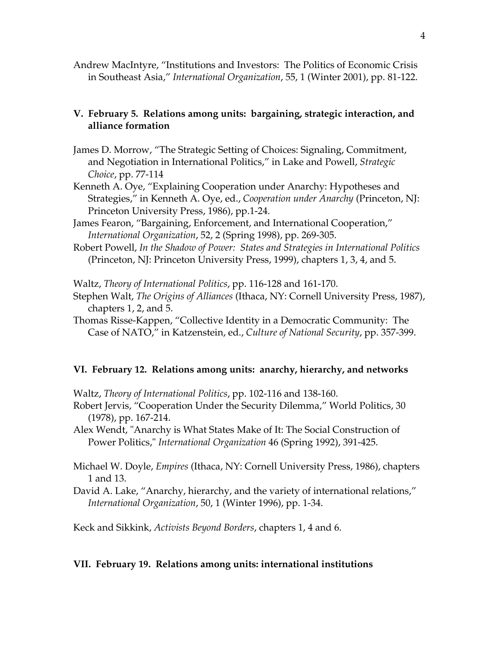Andrew MacIntyre, "Institutions and Investors: The Politics of Economic Crisis in Southeast Asia," *International Organization*, 55, 1 (Winter 2001), pp. 81-122.

### **V. February 5. Relations among units: bargaining, strategic interaction, and alliance formation**

- James D. Morrow, "The Strategic Setting of Choices: Signaling, Commitment, and Negotiation in International Politics," in Lake and Powell, *Strategic Choice*, pp. 77-114
- Kenneth A. Oye, "Explaining Cooperation under Anarchy: Hypotheses and Strategies," in Kenneth A. Oye, ed., *Cooperation under Anarchy* (Princeton, NJ: Princeton University Press, 1986), pp.1-24.
- James Fearon, "Bargaining, Enforcement, and International Cooperation," *International Organization*, 52, 2 (Spring 1998), pp. 269-305.
- Robert Powell, *In the Shadow of Power: States and Strategies in International Politics* (Princeton, NJ: Princeton University Press, 1999), chapters 1, 3, 4, and 5.

Waltz, *Theory of International Politics*, pp. 116-128 and 161-170.

- Stephen Walt, *The Origins of Alliances* (Ithaca, NY: Cornell University Press, 1987), chapters 1, 2, and 5.
- Thomas Risse-Kappen, "Collective Identity in a Democratic Community: The Case of NATO," in Katzenstein, ed., *Culture of National Security*, pp. 357-399.

#### **VI. February 12. Relations among units: anarchy, hierarchy, and networks**

Waltz, *Theory of International Politics*, pp. 102-116 and 138-160.

- Robert Jervis, "Cooperation Under the Security Dilemma," World Politics, 30 (1978), pp. 167-214.
- Alex Wendt, "Anarchy is What States Make of It: The Social Construction of Power Politics," *International Organization* 46 (Spring 1992), 391-425.
- Michael W. Doyle, *Empires* (Ithaca, NY: Cornell University Press, 1986), chapters 1 and 13.
- David A. Lake, "Anarchy, hierarchy, and the variety of international relations," *International Organization*, 50, 1 (Winter 1996), pp. 1-34.

Keck and Sikkink, *Activists Beyond Borders*, chapters 1, 4 and 6.

#### **VII. February 19. Relations among units: international institutions**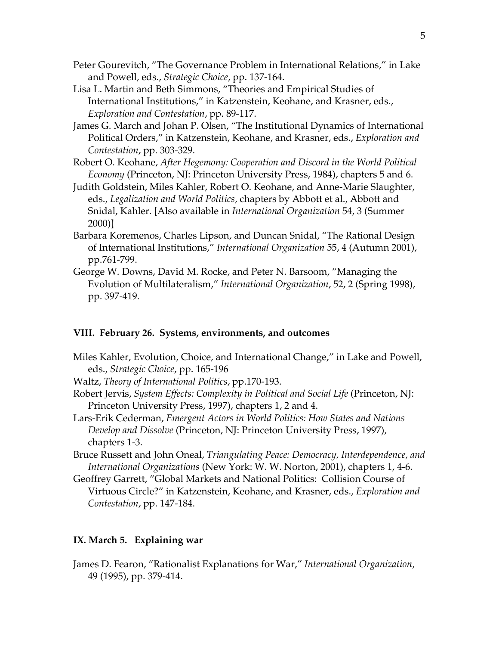- Peter Gourevitch, "The Governance Problem in International Relations," in Lake and Powell, eds., *Strategic Choice*, pp. 137-164.
- Lisa L. Martin and Beth Simmons, "Theories and Empirical Studies of International Institutions," in Katzenstein, Keohane, and Krasner, eds., *Exploration and Contestation*, pp. 89-117.
- James G. March and Johan P. Olsen, "The Institutional Dynamics of International Political Orders," in Katzenstein, Keohane, and Krasner, eds., *Exploration and Contestation*, pp. 303-329.
- Robert O. Keohane, *After Hegemony: Cooperation and Discord in the World Political Economy* (Princeton, NJ: Princeton University Press, 1984), chapters 5 and 6.
- Judith Goldstein, Miles Kahler, Robert O. Keohane, and Anne-Marie Slaughter, eds., *Legalization and World Politics*, chapters by Abbott et al., Abbott and Snidal, Kahler. [Also available in *International Organization* 54, 3 (Summer 2000)]
- Barbara Koremenos, Charles Lipson, and Duncan Snidal, "The Rational Design of International Institutions," *International Organization* 55, 4 (Autumn 2001), pp.761-799.
- George W. Downs, David M. Rocke, and Peter N. Barsoom, "Managing the Evolution of Multilateralism," *International Organization*, 52, 2 (Spring 1998), pp. 397-419.

### **VIII. February 26. Systems, environments, and outcomes**

- Miles Kahler, Evolution, Choice, and International Change," in Lake and Powell, eds., *Strategic Choice*, pp. 165-196
- Waltz, *Theory of International Politics*, pp.170-193.
- Robert Jervis, *System Effects: Complexity in Political and Social Life* (Princeton, NJ: Princeton University Press, 1997), chapters 1, 2 and 4.
- Lars-Erik Cederman, *Emergent Actors in World Politics: How States and Nations Develop and Dissolve* (Princeton, NJ: Princeton University Press, 1997), chapters 1-3.
- Bruce Russett and John Oneal, *Triangulating Peace: Democracy, Interdependence, and International Organizations* (New York: W. W. Norton, 2001), chapters 1, 4-6.
- Geoffrey Garrett, "Global Markets and National Politics: Collision Course of Virtuous Circle?" in Katzenstein, Keohane, and Krasner, eds., *Exploration and Contestation*, pp. 147-184.

## **IX. March 5. Explaining war**

James D. Fearon, "Rationalist Explanations for War," *International Organization*, 49 (1995), pp. 379-414.